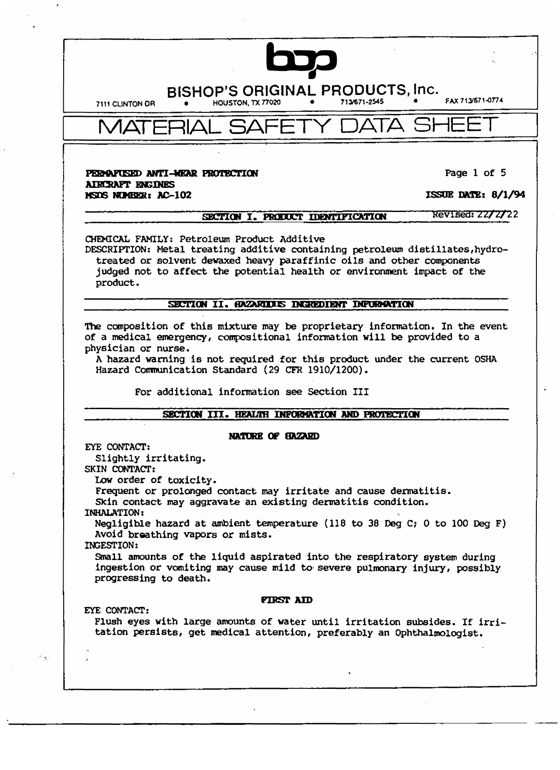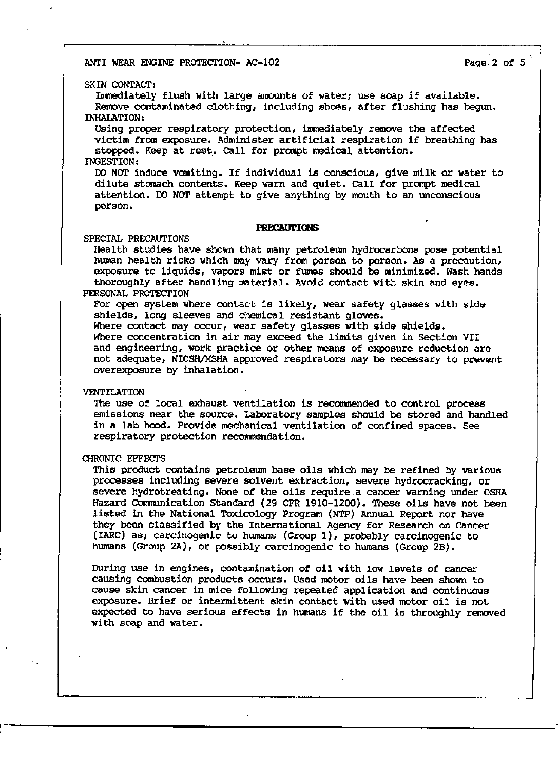ANTI WEAR ENGINE PROTECTION- AC-1O2 Page.2 of 5

### SKIN CONTACT,

Inmediately flush with large amounts of water; use soap if available. Remove contaminated clothing, including shoes, after flushing has begun. INHALATION:

Using proper respiratory protection, immediately remove the affected victim fran exposure. Administer artificial respiration if breathing has stopped. Keep at rest. ca11 for prompt medical attention. INGESTION:

00 NOT induce vomiting. If individual is conscious, give milk or water to dilute stanach contents. Keep warn and quiet. ca11 for prompt medical attention. 00 NOT attempt to give anything by mouth to an unconscious person.

#### **PRECAUTIONS**

### SPECIAL PRECAUTIONS

Health studies have shown that many petroleum hydrocarbons pose potential human health risks which may vary fran person to person. As a precaution, exposure to liquids, vapors mist or fumes should be minimized. Wash hands thoroughly after handling material. Avoid contact with skin and eyes.

## PERSONAL PROTECTION

For open system where contact is likely, wear safety glasses with side shields, long sleeves and chemical resistant gloves. Where contact may occur, wear safety glasses with side shields. Where concentration in air may exceed the limits given in Section VII and engineering, work practice or other means of exposure reduction are not adequate, NIOSH/MSHA approved respirators may be necessary to prevent overexposure by inhalation.

### VENTILATION

The use of local exhaust ventilation is recommended to control process emissions near the source. Laboratory samples should be stored and handled in a lab hood. Provide mechanical ventilation of confined spaces. See respiratory protection reconrnendation.

### CHRONIC EFFECTS

This product contains petroleum base oils which may be refined by various processes including severe solvent extraction, severe hydrocracking, or severe hydrotreating. None of the oils require a cancer warning under OSHA Hazard Communication Standard (29 CFR 1910-1200). These oils have not been listed in the National Toxicology Program (NTP) Annual Report nor have they been classified by the International Agency for Research on Cancer (IARC) as; carcinogenic to humans (Group 1), probably carcinogenic to humans (Group 2A), or possibly carcinogenic to humans (Group 2B).

During use in engines, contamination of oil with low levels of cancer causing combustion products occurs. Used motor oils have been shown to cause skin cancer in mice following repeated application and continuous exposure. Brief or intermittent skin contact with used motor oil is not expected to have serious effects in humans if the oil is throughly removed with soap and water.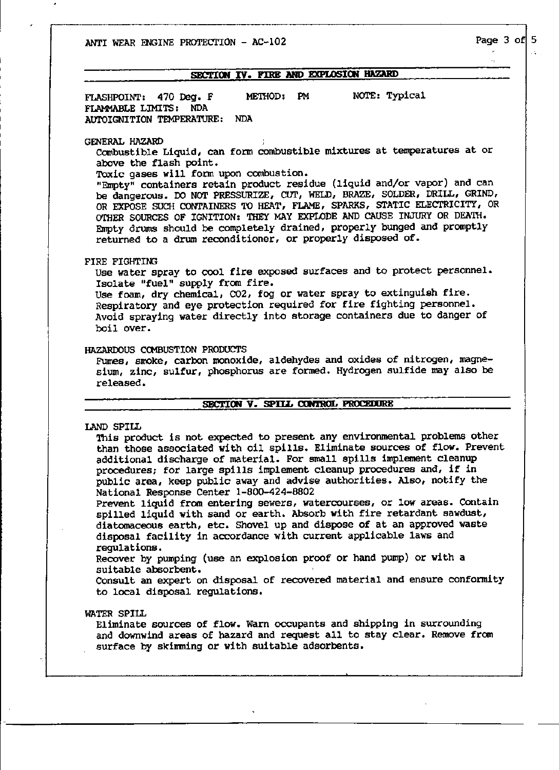ANTI WEAR ENGINE PROTECTION - AC-102 Page 3 of  $5$ 

### SECTION IV. FIRE AND EXPLOSION HAZARD

FLASHPOINT: 470 Deg. F METHOD: PM NOTE: Typical FLAMMABLE LIMITS: NDA AUl'OIGNITION TEMPERATURE: NDA

GENERAL HAZARD ,

canbustible Liquid, can form combustible mixtures at temperatures at or above the flash point.

Toxic gases will form upon combustion.

"Empty" containers retain product residue (liquid and/or vapcr) and can be dangerous. DO NOT PRESSURIZE, COT, WELD, BRAZE, SOLDER, DRILL, GRIND, OR EXPOSE SUCH CONTAINERS TO HEAT, FLAME, SPARKS, STATIC ELECTRICITY, OR OTHER SOURCES OF IGNITION: THEY MAY EXPLODE AND CAUSE INJURY OR DEATH. Empty drums should be completely drained, properly bunged and promptly returned to a drum reconditioner, or properly disposed of.

## FIRE FIGHTING

Use water spray to cool fire exposed surfaces and to protect personnel. Isolate "fuel" supply from fire.

Use foam, dry chemical, CO2, fog or water spray to extinguish fire. Respiratory and eye protection required for fire fighting personnel. Avoid spraying water directly into storage containers due to danger of boil over.

HAZARDOUS CCMBUSTION PRODUCTS

Fumes, smoke, carbon monoxide, aldehydes and oxides of nitrogen, magnesium, zinc, sulfur, phosphorus are forned. Hydrogen sulfide may also be released.

# SECTION V. SPILL CONTROL PROCEDURE

LAND SPILL

'Ibis product is not expected to present any environmental problems other than those associated with oil spills. Eliminate sources of flow. Prevent additional discharge of material. For small spills implement cleanup procedures; for large spills implement cleanup procedures and, if in public area, keep public away and advise authorities. Also, notify the National Response Center 1-800-424-8802

Prevent liquid from entering sewers, watercourses, or low areas. Contain spilled liquid with sand or earth. Absorb with fire retardant sawdust, diatomaceous earth, etc. Shovel up and dispose of at an approved waste disposal facility in accordance with current applicable laws and regulations.

Recover by pumping (use an explosion proof or hand pump) or with a suitable absorbent.

Consult an expert on disposal of recovered material and ensure confonnity to local disposal regulations.

WATER SPILL

Eliminate sources of flow. Warn occupants and shipping in surrounding and downwind areas of hazard and request all to stay clear. Remove from surface by skimming or with suitable adsorbents.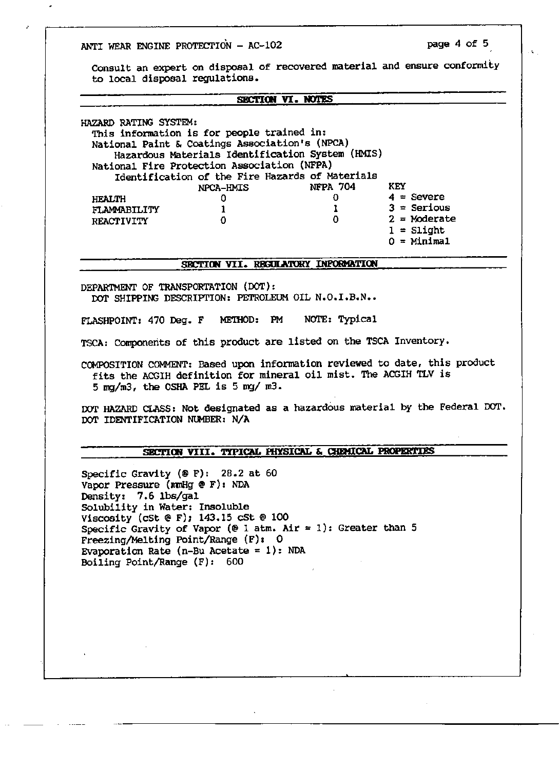ANTI WEAR ENGINE PROTECTION  $-$  AC-102 page 4 of 5

**Consult an expert on disposal of recovered material and ensure conformity to local disposal regulations.** 

#### **SECTION VI. NOTES**

HAZARD RATING SYSTEM: **This information is for people trained in: National Paint & Coatings Association's (NPCA) Hazardous Materials Identification System (HMIS)**  National Fire Protection Association (NFPA) **Identification of the Fire Hazards of Materials**  HEALTH FLAMMABILITY REACTIVITY  $NPCA-HMIS$ 0 0 1 1 0 0 KEY  $4 =$  **Severe 3 = Serious**  2 = **Moderate**   $1 =$  Slight O = **Minimal** 

#### SBCTION VII. RECULATORY INPORMATION

DEPARTMENT OF TRANSPORTATION (DOT): DOT SHIPPING DESCRIPTION: PETROLEUM OIL N.O.I.B.N..

FLASHPOINT: 470 Deg. F ME'IHOD: PM NOTE: Typical

**TSCA: Cornponerits of this product are listed on the TSCA Inventory.** 

**CCMPOSITION COMMENT: Based upon information reviewed to date, this product fits the ACGIH definition for mineral oil mist. The ACGIH TLV is**  5 mg/m3, the OSHA PEL is 5 mg/ m3.

**DOT HAZARD CLASS: Not designated as a hazardous material by the Federal 00'1'.**  DOT IDENTIFICATION NUmER: N/A

# SECTION VIII. TYPICAL PHYSICAL & CHEMICAL PROPERTIES

Specific Gravity (@ F): 28.2 at 60 Vapor Pressure (mmHg @ F): NDA Density: 7.6 lbs/gal **Solubility in Water: Insoluble**  Viscosity (cSt  $\mathfrak{E}$  F); 143.15 cSt  $\mathfrak{E}$  100 Specific Gravity of Vapor (@ 1 atm. Air = 1): Greater than 5 Freezing/Melting Point/Range (F): 0 Evaporation Rate ( $n-Bu$  Acetate = 1): NDA Boiling Point/Range (F): 600